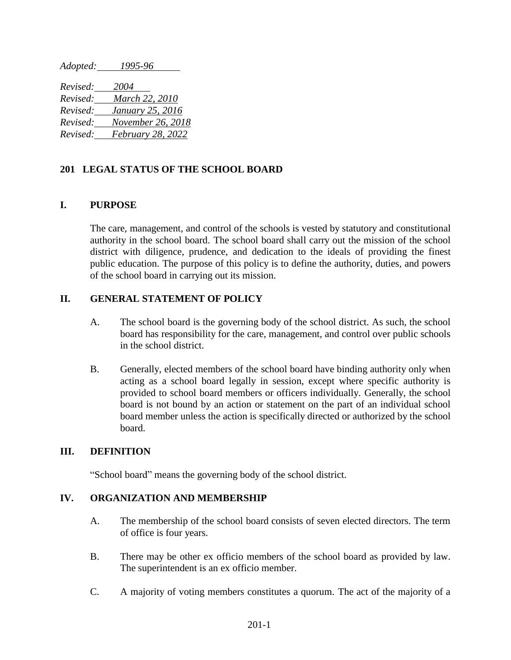*Adopted: 1995-96* 

*Revised: 2004 Revised: March 22, 2010 Revised: January 25, 2016 Revised: November 26, 2018 Revised: February 28, 2022*

## **201 LEGAL STATUS OF THE SCHOOL BOARD**

## **I. PURPOSE**

The care, management, and control of the schools is vested by statutory and constitutional authority in the school board. The school board shall carry out the mission of the school district with diligence, prudence, and dedication to the ideals of providing the finest public education. The purpose of this policy is to define the authority, duties, and powers of the school board in carrying out its mission.

## **II. GENERAL STATEMENT OF POLICY**

- A. The school board is the governing body of the school district. As such, the school board has responsibility for the care, management, and control over public schools in the school district.
- B. Generally, elected members of the school board have binding authority only when acting as a school board legally in session, except where specific authority is provided to school board members or officers individually. Generally, the school board is not bound by an action or statement on the part of an individual school board member unless the action is specifically directed or authorized by the school board.

#### **III. DEFINITION**

"School board" means the governing body of the school district.

# **IV. ORGANIZATION AND MEMBERSHIP**

- A. The membership of the school board consists of seven elected directors. The term of office is four years.
- B. There may be other ex officio members of the school board as provided by law. The superintendent is an ex officio member.
- C. A majority of voting members constitutes a quorum. The act of the majority of a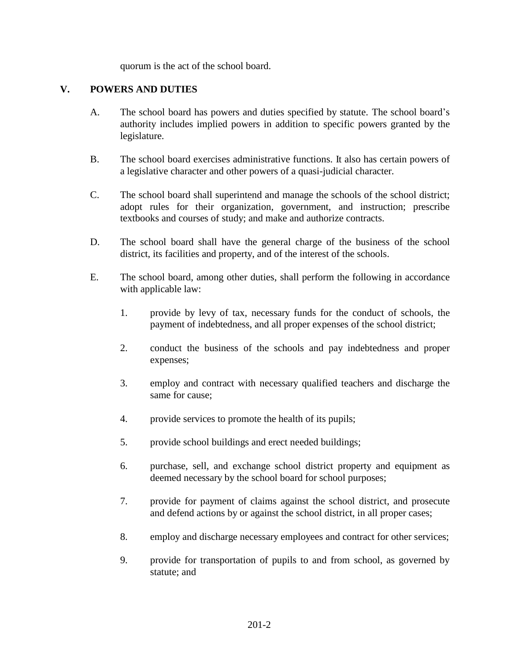quorum is the act of the school board.

# **V. POWERS AND DUTIES**

- A. The school board has powers and duties specified by statute. The school board's authority includes implied powers in addition to specific powers granted by the legislature.
- B. The school board exercises administrative functions. It also has certain powers of a legislative character and other powers of a quasi-judicial character.
- C. The school board shall superintend and manage the schools of the school district; adopt rules for their organization, government, and instruction; prescribe textbooks and courses of study; and make and authorize contracts.
- D. The school board shall have the general charge of the business of the school district, its facilities and property, and of the interest of the schools.
- E. The school board, among other duties, shall perform the following in accordance with applicable law:
	- 1. provide by levy of tax, necessary funds for the conduct of schools, the payment of indebtedness, and all proper expenses of the school district;
	- 2. conduct the business of the schools and pay indebtedness and proper expenses;
	- 3. employ and contract with necessary qualified teachers and discharge the same for cause;
	- 4. provide services to promote the health of its pupils;
	- 5. provide school buildings and erect needed buildings;
	- 6. purchase, sell, and exchange school district property and equipment as deemed necessary by the school board for school purposes;
	- 7. provide for payment of claims against the school district, and prosecute and defend actions by or against the school district, in all proper cases;
	- 8. employ and discharge necessary employees and contract for other services;
	- 9. provide for transportation of pupils to and from school, as governed by statute; and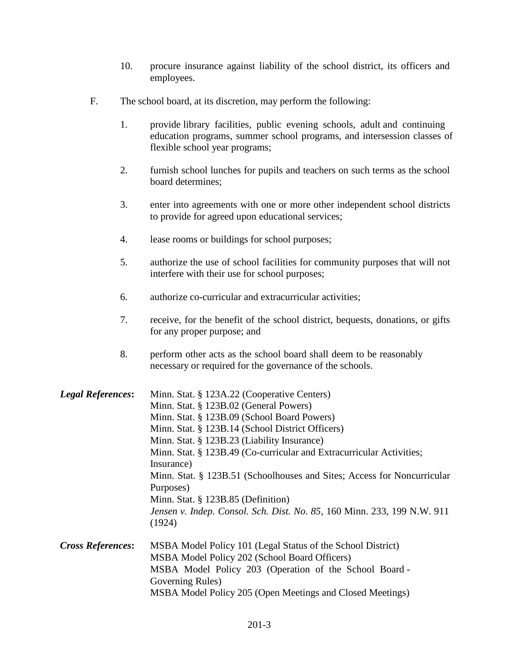- 10. procure insurance against liability of the school district, its officers and employees.
- F. The school board, at its discretion, may perform the following:
	- 1. provide library facilities, public evening schools, adult and continuing education programs, summer school programs, and intersession classes of flexible school year programs;
	- 2. furnish school lunches for pupils and teachers on such terms as the school board determines;
	- 3. enter into agreements with one or more other independent school districts to provide for agreed upon educational services;
	- 4. lease rooms or buildings for school purposes;
	- 5. authorize the use of school facilities for community purposes that will not interfere with their use for school purposes;
	- 6. authorize co-curricular and extracurricular activities;
	- 7. receive, for the benefit of the school district, bequests, donations, or gifts for any proper purpose; and
	- 8. perform other acts as the school board shall deem to be reasonably necessary or required for the governance of the schools.

| <b>Legal References:</b> | Minn. Stat. § 123A.22 (Cooperative Centers)                                       |
|--------------------------|-----------------------------------------------------------------------------------|
|                          | Minn. Stat. § 123B.02 (General Powers)                                            |
|                          | Minn. Stat. § 123B.09 (School Board Powers)                                       |
|                          | Minn. Stat. § 123B.14 (School District Officers)                                  |
|                          | Minn. Stat. § 123B.23 (Liability Insurance)                                       |
|                          | Minn. Stat. § 123B.49 (Co-curricular and Extracurricular Activities;              |
|                          | Insurance)                                                                        |
|                          | Minn. Stat. § 123B.51 (Schoolhouses and Sites; Access for Noncurricular           |
|                          | Purposes)                                                                         |
|                          | Minn. Stat. § 123B.85 (Definition)                                                |
|                          | Jensen v. Indep. Consol. Sch. Dist. No. 85, 160 Minn. 233, 199 N.W. 911<br>(1924) |
| <b>Cross References:</b> | MSBA Model Policy 101 (Legal Status of the School District)                       |
|                          | MSBA Model Policy 202 (School Board Officers)                                     |
|                          | MSBA Model Policy 203 (Operation of the School Board -                            |
|                          | Governing Rules)                                                                  |
|                          | MSBA Model Policy 205 (Open Meetings and Closed Meetings)                         |